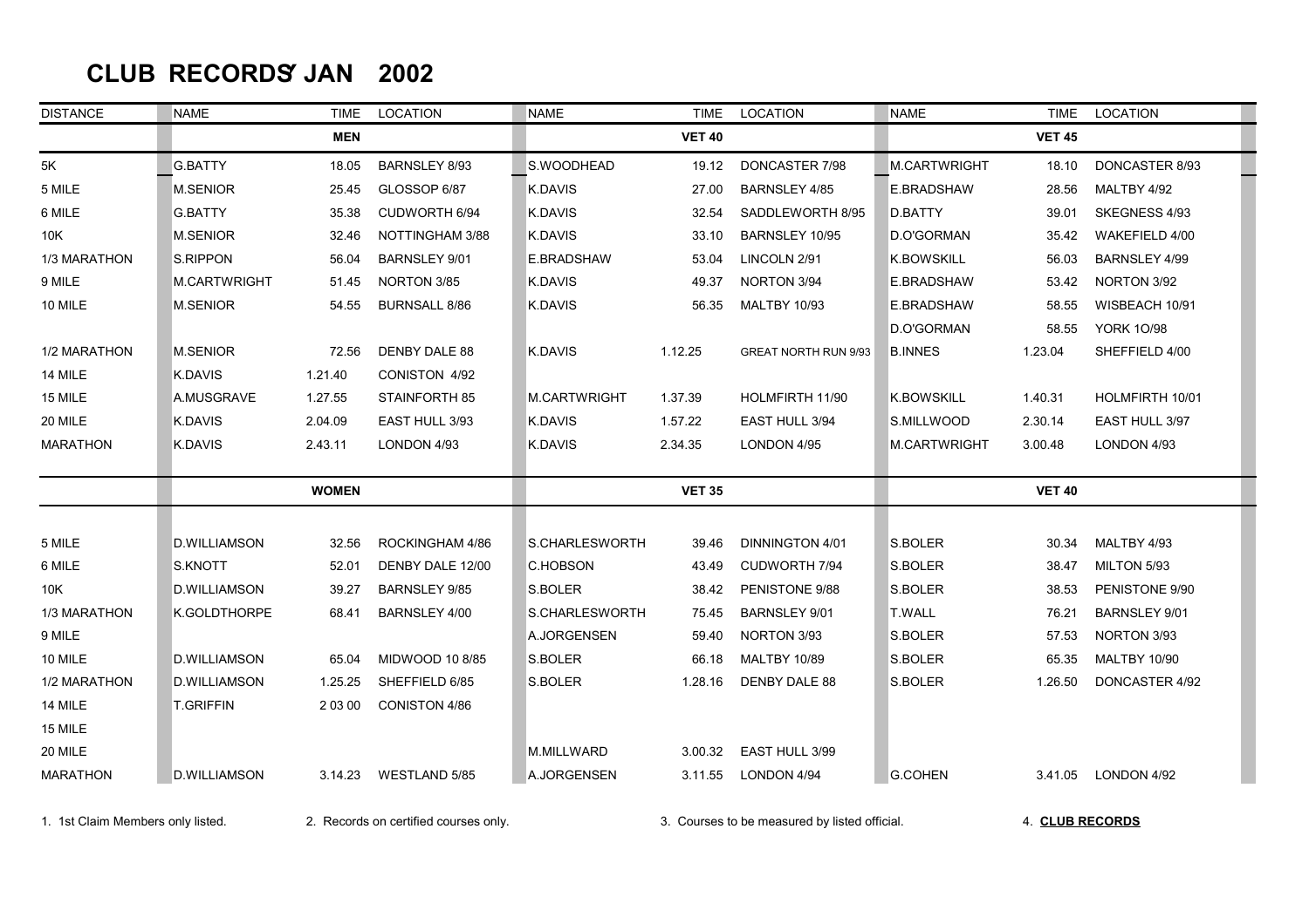## **CLUB RECORDS JAN 2002**

| <b>DISTANCE</b> | <b>NAME</b>         | <b>TIME</b>  | <b>LOCATION</b>      | <b>NAME</b>    | <b>TIME</b>   | LOCATION                    | <b>NAME</b><br><b>TIME</b> |               | LOCATION            |
|-----------------|---------------------|--------------|----------------------|----------------|---------------|-----------------------------|----------------------------|---------------|---------------------|
|                 |                     | <b>MEN</b>   |                      |                | <b>VET 40</b> |                             |                            | <b>VET 45</b> |                     |
| 5K              | G.BATTY             | 18.05        | <b>BARNSLEY 8/93</b> | S.WOODHEAD     | 19.12         | DONCASTER 7/98              | M.CARTWRIGHT               | 18.10         | DONCASTER 8/93      |
| 5 MILE          | <b>M.SENIOR</b>     | 25.45        | GLOSSOP 6/87         | <b>K.DAVIS</b> | 27.00         | <b>BARNSLEY 4/85</b>        | E.BRADSHAW                 | 28.56         | MALTBY 4/92         |
| 6 MILE          | G.BATTY             | 35.38        | CUDWORTH 6/94        | K.DAVIS        | 32.54         | SADDLEWORTH 8/95            | D.BATTY                    | 39.01         | SKEGNESS 4/93       |
| 10K             | <b>M.SENIOR</b>     | 32.46        | NOTTINGHAM 3/88      | K.DAVIS        | 33.10         | BARNSLEY 10/95              | D.O'GORMAN                 | 35.42         | WAKEFIELD 4/00      |
| 1/3 MARATHON    | S.RIPPON            | 56.04        | <b>BARNSLEY 9/01</b> | E.BRADSHAW     | 53.04         | LINCOLN 2/91                | <b>K.BOWSKILL</b>          | 56.03         | BARNSLEY 4/99       |
| 9 MILE          | M.CARTWRIGHT        | 51.45        | NORTON 3/85          | K.DAVIS        | 49.37         | NORTON 3/94                 | E.BRADSHAW                 | 53.42         | NORTON 3/92         |
| 10 MILE         | <b>M.SENIOR</b>     | 54.55        | <b>BURNSALL 8/86</b> | <b>K.DAVIS</b> | 56.35         | <b>MALTBY 10/93</b>         | E.BRADSHAW                 | 58.55         | WISBEACH 10/91      |
|                 |                     |              |                      |                |               |                             | D.O'GORMAN                 | 58.55         | <b>YORK 10/98</b>   |
| 1/2 MARATHON    | <b>M.SENIOR</b>     | 72.56        | DENBY DALE 88        | K.DAVIS        | 1.12.25       | <b>GREAT NORTH RUN 9/93</b> | <b>B.INNES</b>             | 1.23.04       | SHEFFIELD 4/00      |
| 14 MILE         | K.DAVIS             | 1.21.40      | CONISTON 4/92        |                |               |                             |                            |               |                     |
| 15 MILE         | A.MUSGRAVE          | 1.27.55      | STAINFORTH 85        | M.CARTWRIGHT   | 1.37.39       | HOLMFIRTH 11/90             | <b>K.BOWSKILL</b>          | 1.40.31       | HOLMFIRTH 10/01     |
| 20 MILE         | K.DAVIS             | 2.04.09      | EAST HULL 3/93       | K.DAVIS        | 1.57.22       | EAST HULL 3/94              | S.MILLWOOD                 | 2.30.14       | EAST HULL 3/97      |
| <b>MARATHON</b> | K.DAVIS             | 2.43.11      | LONDON 4/93          | K.DAVIS        | 2.34.35       | LONDON 4/95                 | <b>M.CARTWRIGHT</b>        | 3.00.48       | LONDON 4/93         |
|                 |                     |              |                      |                |               |                             |                            |               |                     |
|                 |                     | <b>WOMEN</b> |                      |                | <b>VET 35</b> |                             |                            | <b>VET 40</b> |                     |
|                 |                     |              |                      |                |               |                             |                            |               |                     |
| 5 MILE          | <b>D.WILLIAMSON</b> | 32.56        | ROCKINGHAM 4/86      | S.CHARLESWORTH | 39.46         | DINNINGTON 4/01             | S.BOLER                    | 30.34         | MALTBY 4/93         |
| 6 MILE          | S.KNOTT             | 52.01        | DENBY DALE 12/00     | C.HOBSON       | 43.49         | <b>CUDWORTH 7/94</b>        | S.BOLER                    | 38.47         | MILTON 5/93         |
| 10K             | <b>D.WILLIAMSON</b> | 39.27        | <b>BARNSLEY 9/85</b> | S.BOLER        | 38.42         | PENISTONE 9/88              | S.BOLER                    | 38.53         | PENISTONE 9/90      |
| 1/3 MARATHON    | K.GOLDTHORPE        | 68.41        | BARNSLEY 4/00        | S.CHARLESWORTH | 75.45         | <b>BARNSLEY 9/01</b>        | <b>T.WALL</b>              | 76.21         | BARNSLEY 9/01       |
| 9 MILE          |                     |              |                      | A.JORGENSEN    | 59.40         | NORTON 3/93                 | S.BOLER                    | 57.53         | NORTON 3/93         |
| 10 MILE         | <b>D.WILLIAMSON</b> | 65.04        | MIDWOOD 10 8/85      | S.BOLER        | 66.18         | <b>MALTBY 10/89</b>         | S.BOLER                    | 65.35         | <b>MALTBY 10/90</b> |
| 1/2 MARATHON    | <b>D.WILLIAMSON</b> | 1.25.25      | SHEFFIELD 6/85       | S.BOLER        | 1.28.16       | DENBY DALE 88               | S.BOLER                    | 1.26.50       | DONCASTER 4/92      |
| 14 MILE         | <b>T.GRIFFIN</b>    | 2 03 00      | CONISTON 4/86        |                |               |                             |                            |               |                     |
| 15 MILE         |                     |              |                      |                |               |                             |                            |               |                     |
| 20 MILE         |                     |              |                      | M.MILLWARD     | 3.00.32       | EAST HULL 3/99              |                            |               |                     |
| <b>MARATHON</b> | <b>D.WILLIAMSON</b> | 3.14.23      | WESTLAND 5/85        | A.JORGENSEN    | 3.11.55       | <b>LONDON 4/94</b>          | <b>G.COHEN</b>             | 3.41.05       | LONDON 4/92         |

1. 1st Claim Members only listed. 2. Records on certified courses only. 3. Courses to be measured by listed official.

4. **CLUB RECORDS**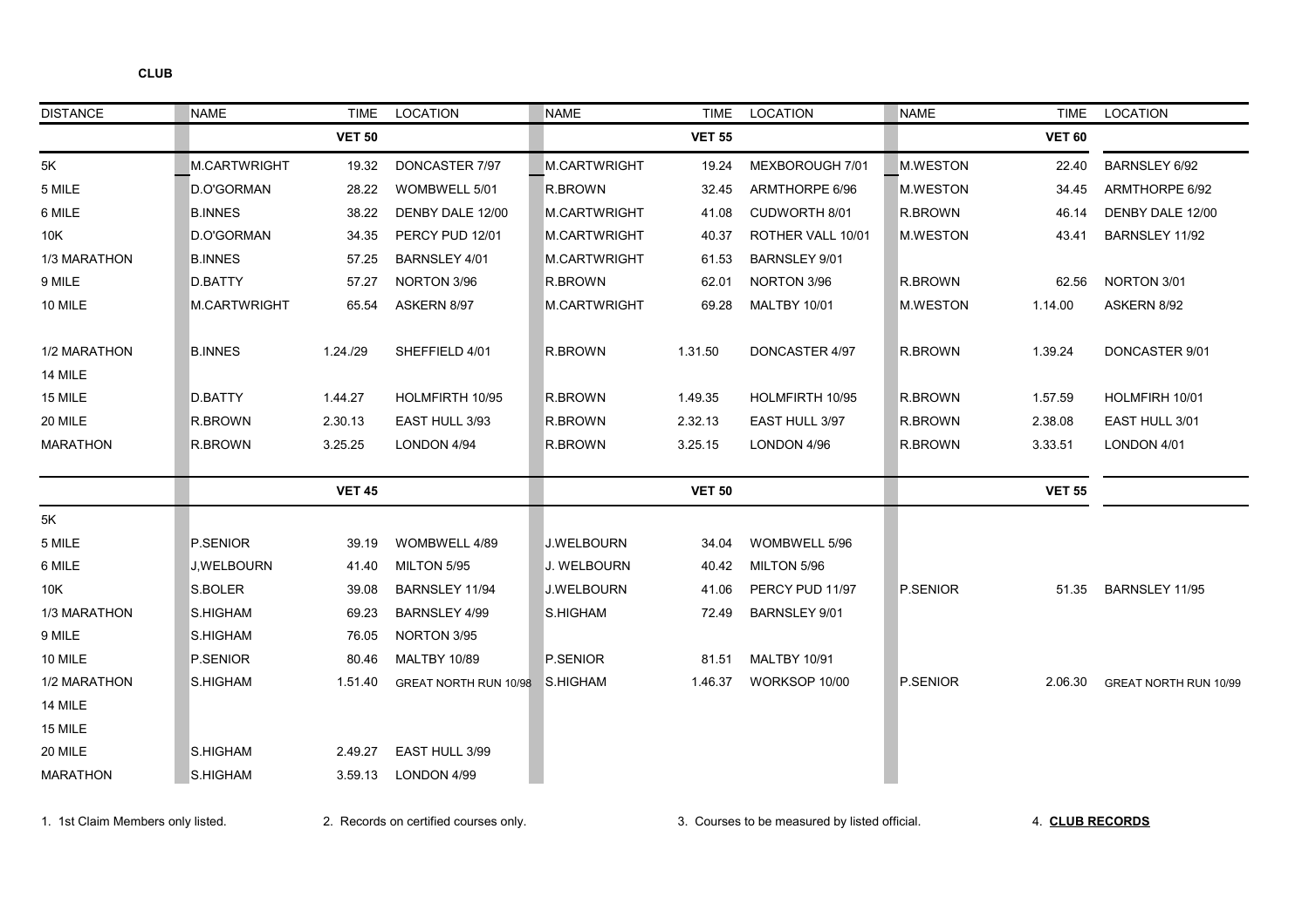| ۰,<br>×<br>٧ |  |
|--------------|--|
|--------------|--|

| <b>DISTANCE</b>         | <b>NAME</b>         | <b>TIME</b>   | <b>LOCATION</b>                | <b>NAME</b>       | <b>TIME</b>   | LOCATION            | <b>NAME</b>     | <b>TIME</b>   | <b>LOCATION</b>       |
|-------------------------|---------------------|---------------|--------------------------------|-------------------|---------------|---------------------|-----------------|---------------|-----------------------|
|                         |                     | <b>VET 50</b> |                                |                   | <b>VET 55</b> |                     |                 | <b>VET 60</b> |                       |
| 5K                      | M.CARTWRIGHT        | 19.32         | DONCASTER 7/97                 | M.CARTWRIGHT      | 19.24         | MEXBOROUGH 7/01     | M.WESTON        | 22.40         | BARNSLEY 6/92         |
| 5 MILE                  | D.O'GORMAN          | 28.22         | WOMBWELL 5/01                  | R.BROWN           | 32.45         | ARMTHORPE 6/96      | M.WESTON        | 34.45         | ARMTHORPE 6/92        |
| 6 MILE                  | <b>B.INNES</b>      | 38.22         | DENBY DALE 12/00               | M.CARTWRIGHT      | 41.08         | CUDWORTH 8/01       | R.BROWN         | 46.14         | DENBY DALE 12/00      |
| 10K                     | D.O'GORMAN          | 34.35         | PERCY PUD 12/01                | M.CARTWRIGHT      | 40.37         | ROTHER VALL 10/01   | M.WESTON        | 43.41         | BARNSLEY 11/92        |
| 1/3 MARATHON            | <b>B.INNES</b>      | 57.25         | BARNSLEY 4/01                  | M.CARTWRIGHT      | 61.53         | BARNSLEY 9/01       |                 |               |                       |
| 9 MILE                  | D.BATTY             | 57.27         | NORTON 3/96                    | R.BROWN           | 62.01         | NORTON 3/96         | R.BROWN         | 62.56         | NORTON 3/01           |
| 10 MILE                 | <b>M.CARTWRIGHT</b> | 65.54         | ASKERN 8/97                    | M.CARTWRIGHT      | 69.28         | <b>MALTBY 10/01</b> | M.WESTON        | 1.14.00       | ASKERN 8/92           |
| 1/2 MARATHON<br>14 MILE | <b>B.INNES</b>      | 1.24./29      | SHEFFIELD 4/01                 | R.BROWN           | 1.31.50       | DONCASTER 4/97      | R.BROWN         | 1.39.24       | DONCASTER 9/01        |
| 15 MILE                 | D.BATTY             | 1.44.27       | HOLMFIRTH 10/95                | R.BROWN           | 1.49.35       | HOLMFIRTH 10/95     | <b>R.BROWN</b>  | 1.57.59       | HOLMFIRH 10/01        |
| 20 MILE                 | R.BROWN             | 2.30.13       | EAST HULL 3/93                 | R.BROWN           | 2.32.13       | EAST HULL 3/97      | R.BROWN         | 2.38.08       | EAST HULL 3/01        |
| <b>MARATHON</b>         | R.BROWN             | 3.25.25       | LONDON 4/94                    | R.BROWN           | 3.25.15       | LONDON 4/96         | R.BROWN         | 3.33.51       | LONDON 4/01           |
|                         |                     | <b>VET 45</b> |                                |                   | <b>VET 50</b> |                     |                 | <b>VET 55</b> |                       |
| 5K                      |                     |               |                                |                   |               |                     |                 |               |                       |
| 5 MILE                  | P.SENIOR            | 39.19         | WOMBWELL 4/89                  | <b>J.WELBOURN</b> | 34.04         | WOMBWELL 5/96       |                 |               |                       |
| 6 MILE                  | <b>J.WELBOURN</b>   | 41.40         | MILTON 5/95                    | J. WELBOURN       | 40.42         | MILTON 5/96         |                 |               |                       |
| 10K                     | S.BOLER             | 39.08         | BARNSLEY 11/94                 | <b>J.WELBOURN</b> | 41.06         | PERCY PUD 11/97     | <b>P.SENIOR</b> | 51.35         | BARNSLEY 11/95        |
| 1/3 MARATHON            | S.HIGHAM            | 69.23         | <b>BARNSLEY 4/99</b>           | S.HIGHAM          | 72.49         | BARNSLEY 9/01       |                 |               |                       |
| 9 MILE                  | S.HIGHAM            | 76.05         | NORTON 3/95                    |                   |               |                     |                 |               |                       |
| 10 MILE                 | P.SENIOR            | 80.46         | <b>MALTBY 10/89</b>            | P.SENIOR          | 81.51         | <b>MALTBY 10/91</b> |                 |               |                       |
| 1/2 MARATHON            | S.HIGHAM            | 1.51.40       | GREAT NORTH RUN 10/98 S.HIGHAM |                   | 1.46.37       | WORKSOP 10/00       | P.SENIOR        | 2.06.30       | GREAT NORTH RUN 10/99 |
| 14 MILE                 |                     |               |                                |                   |               |                     |                 |               |                       |
| 15 MILE                 |                     |               |                                |                   |               |                     |                 |               |                       |
| 20 MILE                 | S.HIGHAM            | 2.49.27       | EAST HULL 3/99                 |                   |               |                     |                 |               |                       |
| <b>MARATHON</b>         | S.HIGHAM            | 3.59.13       | LONDON 4/99                    |                   |               |                     |                 |               |                       |

1. 1st Claim Members only listed. 2. Records on certified courses only. 3. Courses to be measured by listed official. 4. **CLUB RECORDS**